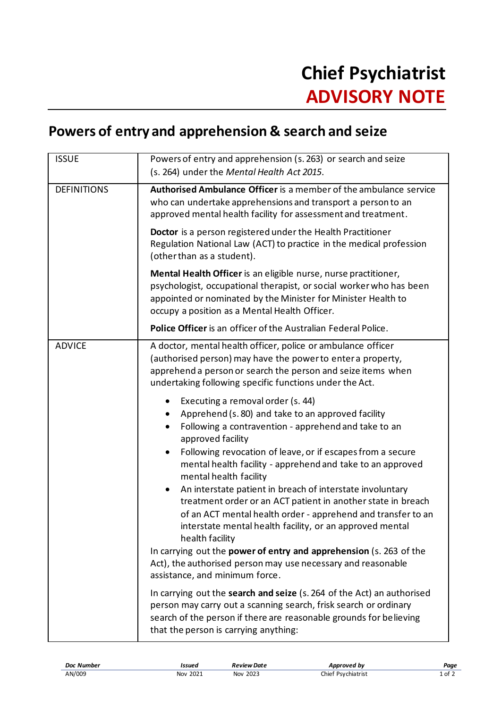## **Powers of entry and apprehension & search and seize**

| <b>ISSUE</b>       | Powers of entry and apprehension (s. 263) or search and seize<br>(s. 264) under the Mental Health Act 2015.                                                                                                                                                                                                                |
|--------------------|----------------------------------------------------------------------------------------------------------------------------------------------------------------------------------------------------------------------------------------------------------------------------------------------------------------------------|
| <b>DEFINITIONS</b> | Authorised Ambulance Officer is a member of the ambulance service<br>who can undertake apprehensions and transport a person to an<br>approved mental health facility for assessment and treatment.                                                                                                                         |
|                    | <b>Doctor</b> is a person registered under the Health Practitioner<br>Regulation National Law (ACT) to practice in the medical profession<br>(other than as a student).                                                                                                                                                    |
|                    | Mental Health Officer is an eligible nurse, nurse practitioner,<br>psychologist, occupational therapist, or social worker who has been<br>appointed or nominated by the Minister for Minister Health to<br>occupy a position as a Mental Health Officer.                                                                   |
|                    | Police Officer is an officer of the Australian Federal Police.                                                                                                                                                                                                                                                             |
| <b>ADVICE</b>      | A doctor, mental health officer, police or ambulance officer<br>(authorised person) may have the power to enter a property,<br>apprehend a person or search the person and seize items when<br>undertaking following specific functions under the Act.                                                                     |
|                    | Executing a removal order (s. 44)<br>Apprehend (s. 80) and take to an approved facility<br>Following a contravention - apprehend and take to an<br>approved facility<br>Following revocation of leave, or if escapes from a secure<br>mental health facility - apprehend and take to an approved<br>mental health facility |
|                    | An interstate patient in breach of interstate involuntary<br>$\bullet$<br>treatment order or an ACT patient in another state in breach<br>of an ACT mental health order - apprehend and transfer to an<br>interstate mental health facility, or an approved mental<br>health facility                                      |
|                    | In carrying out the power of entry and apprehension (s. 263 of the<br>Act), the authorised person may use necessary and reasonable<br>assistance, and minimum force.                                                                                                                                                       |
|                    | In carrying out the search and seize (s. 264 of the Act) an authorised<br>person may carry out a scanning search, frisk search or ordinary<br>search of the person if there are reasonable grounds for believing<br>that the person is carrying anything:                                                                  |